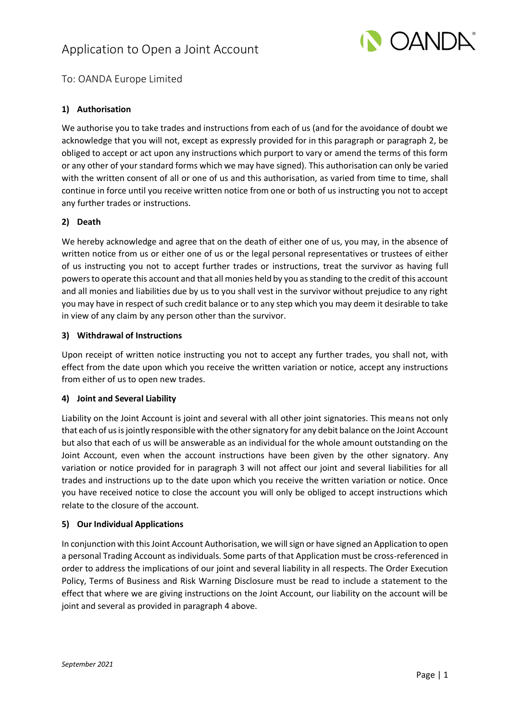# Application to Open a Joint Account



# To: OANDA Europe Limited

## **1) Authorisation**

We authorise you to take trades and instructions from each of us (and for the avoidance of doubt we acknowledge that you will not, except as expressly provided for in this paragraph or paragraph 2, be obliged to accept or act upon any instructions which purport to vary or amend the terms of this form or any other of your standard forms which we may have signed). This authorisation can only be varied with the written consent of all or one of us and this authorisation, as varied from time to time, shall continue in force until you receive written notice from one or both of us instructing you not to accept any further trades or instructions.

#### **2) Death**

We hereby acknowledge and agree that on the death of either one of us, you may, in the absence of written notice from us or either one of us or the legal personal representatives or trustees of either of us instructing you not to accept further trades or instructions, treat the survivor as having full powers to operate this account and that all monies held by you as standing to the credit of this account and all monies and liabilities due by us to you shall vest in the survivor without prejudice to any right you may have in respect of such credit balance or to any step which you may deem it desirable to take in view of any claim by any person other than the survivor.

## **3) Withdrawal of Instructions**

Upon receipt of written notice instructing you not to accept any further trades, you shall not, with effect from the date upon which you receive the written variation or notice, accept any instructions from either of us to open new trades.

#### **4) Joint and Several Liability**

Liability on the Joint Account is joint and several with all other joint signatories. This means not only that each of us is jointly responsible with the other signatory for any debit balance on the Joint Account but also that each of us will be answerable as an individual for the whole amount outstanding on the Joint Account, even when the account instructions have been given by the other signatory. Any variation or notice provided for in paragraph 3 will not affect our joint and several liabilities for all trades and instructions up to the date upon which you receive the written variation or notice. Once you have received notice to close the account you will only be obliged to accept instructions which relate to the closure of the account.

#### **5) Our Individual Applications**

In conjunction with this Joint Account Authorisation, we will sign or have signed an Application to open a personal Trading Account as individuals. Some parts of that Application must be cross-referenced in order to address the implications of our joint and several liability in all respects. The Order Execution Policy, Terms of Business and Risk Warning Disclosure must be read to include a statement to the effect that where we are giving instructions on the Joint Account, our liability on the account will be joint and several as provided in paragraph 4 above.